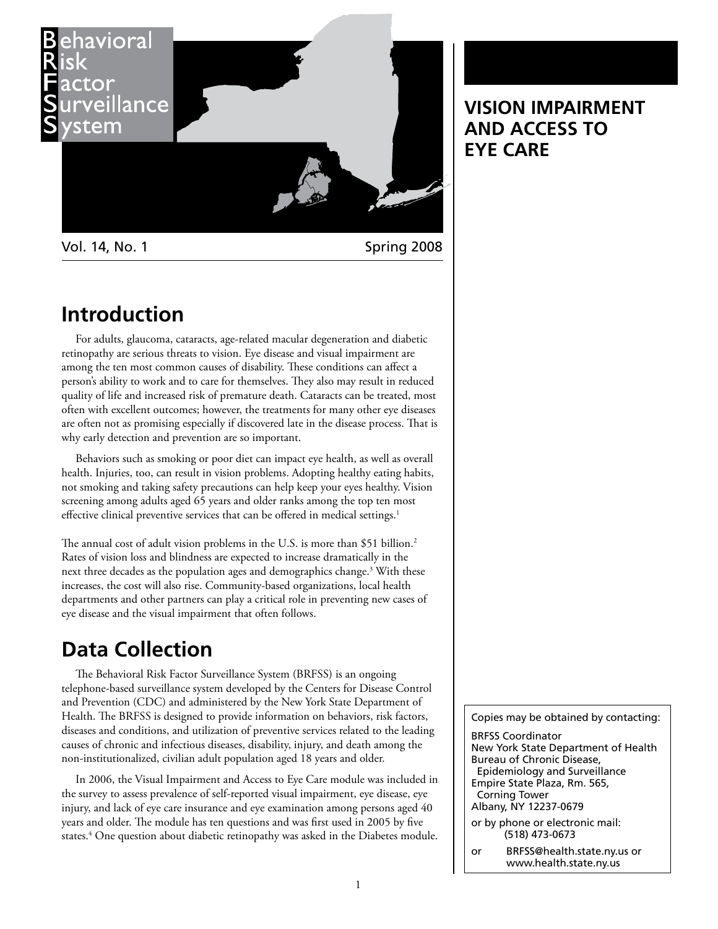

Vol. 14, No. 1 Spring 2008

## **Introduction**

For adults, glaucoma, cataracts, age-related macular degeneration and diabetic retinopathy are serious threats to vision. Eye disease and visual impairment are among the ten most common causes of disability. These conditions can affect a person's ability to work and to care for themselves. They also may result in reduced quality of life and increased risk of premature death. Cataracts can be treated, most often with excellent outcomes; however, the treatments for many other eye diseases are often not as promising especially if discovered late in the disease process. That is why early detection and prevention are so important.

Behaviors such as smoking or poor diet can impact eye health, as well as overall health. Injuries, too, can result in vision problems. Adopting healthy eating habits, not smoking and taking safety precautions can help keep your eyes healthy. Vision screening among adults aged 65 years and older ranks among the top ten most effective clinical preventive services that can be offered in medical settings.<sup>1</sup>

The annual cost of adult vision problems in the U.S. is more than \$51 billion.<sup>2</sup> Rates of vision loss and blindness are expected to increase dramatically in the next three decades as the population ages and demographics change.<sup>3</sup> With these increases, the cost will also rise. Community-based organizations, local health departments and other partners can play a critical role in preventing new cases of eye disease and the visual impairment that often follows.

# **Data Collection**

The Behavioral Risk Factor Surveillance System (BRFSS) is an ongoing telephone-based surveillance system developed by the Centers for Disease Control and Prevention (CDC) and administered by the New York State Department of Health. The BRFSS is designed to provide information on behaviors, risk factors, diseases and conditions, and utilization of preventive services related to the leading causes of chronic and infectious diseases, disability, injury, and death among the non-institutionalized, civilian adult population aged 18 years and older.

In 2006, the Visual Impairment and Access to Eye Care module was included in the survey to assess prevalence of self-reported visual impairment, eye disease, eye injury, and lack of eye care insurance and eye examination among persons aged 40 years and older. The module has ten questions and was first used in 2005 by five states.<sup>4</sup> One question about diabetic retinopathy was asked in the Diabetes module.

Copies may be obtained by contacting:

BRFSS Coordinator New York State Department of Health Bureau of Chronic Disease, Epidemiology and Surveillance Empire State Plaza, Rm. 565, Corning Tower Albany, NY 12237-0679

or by phone or electronic mail: (518) 473-0673

or BRFSS@health.state.ny.us or www.health.state.ny.us

## **VISION IMPAIRMENT AND ACCESS TO EYE CARE**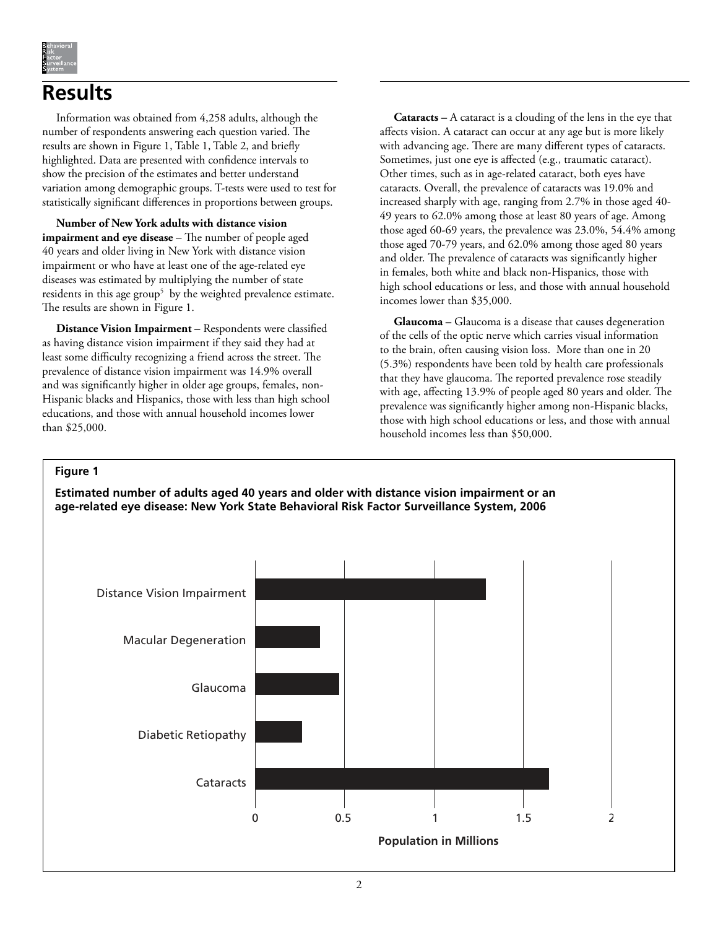

# **Results**

Information was obtained from 4,258 adults, although the number of respondents answering each question varied. The results are shown in Figure 1, Table 1, Table 2, and briefly highlighted. Data are presented with confidence intervals to show the precision of the estimates and better understand variation among demographic groups. T-tests were used to test for statistically significant differences in proportions between groups.

**Number of New York adults with distance vision impairment and eye disease** – The number of people aged 40 years and older living in New York with distance vision impairment or who have at least one of the age-related eye diseases was estimated by multiplying the number of state residents in this age group<sup>5</sup> by the weighted prevalence estimate. The results are shown in Figure 1.

**Distance Vision Impairment –** Respondents were classified as having distance vision impairment if they said they had at least some difficulty recognizing a friend across the street. The prevalence of distance vision impairment was 14.9% overall and was significantly higher in older age groups, females, non-Hispanic blacks and Hispanics, those with less than high school educations, and those with annual household incomes lower than \$25,000.

**Cataracts –** A cataract is a clouding of the lens in the eye that affects vision. A cataract can occur at any age but is more likely with advancing age. There are many different types of cataracts. Sometimes, just one eye is affected (e.g., traumatic cataract). Other times, such as in age-related cataract, both eyes have cataracts. Overall, the prevalence of cataracts was 19.0% and increased sharply with age, ranging from 2.7% in those aged 40- 49 years to 62.0% among those at least 80 years of age. Among those aged 60-69 years, the prevalence was 23.0%, 54.4% among those aged 70-79 years, and 62.0% among those aged 80 years and older. The prevalence of cataracts was significantly higher in females, both white and black non-Hispanics, those with high school educations or less, and those with annual household incomes lower than \$35,000.

**Glaucoma –** Glaucoma is a disease that causes degeneration of the cells of the optic nerve which carries visual information to the brain, often causing vision loss. More than one in 20 (5.3%) respondents have been told by health care professionals that they have glaucoma. The reported prevalence rose steadily with age, affecting 13.9% of people aged 80 years and older. The prevalence was significantly higher among non-Hispanic blacks, those with high school educations or less, and those with annual household incomes less than \$50,000.

## **Figure 1**

**Estimated number of adults aged 40 years and older with distance vision impairment or an age-related eye disease: New York State Behavioral Risk Factor Surveillance System, 2006**

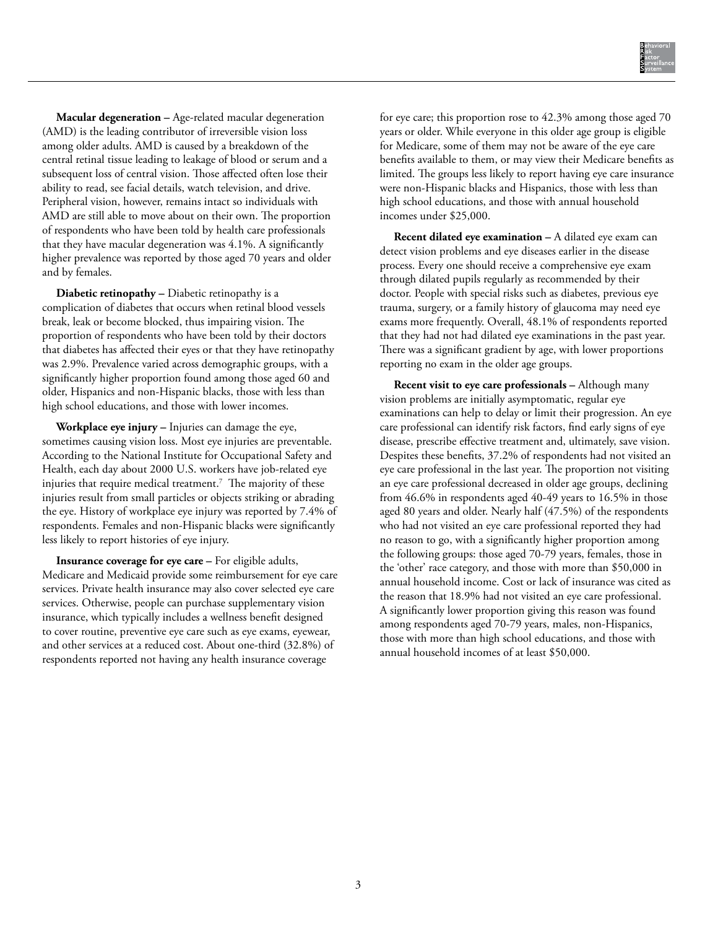**Macular degeneration –** Age-related macular degeneration (AMD) is the leading contributor of irreversible vision loss among older adults. AMD is caused by a breakdown of the central retinal tissue leading to leakage of blood or serum and a subsequent loss of central vision. Those affected often lose their ability to read, see facial details, watch television, and drive. Peripheral vision, however, remains intact so individuals with AMD are still able to move about on their own. The proportion of respondents who have been told by health care professionals that they have macular degeneration was 4.1%. A significantly higher prevalence was reported by those aged 70 years and older and by females.

**Diabetic retinopathy –** Diabetic retinopathy is a complication of diabetes that occurs when retinal blood vessels break, leak or become blocked, thus impairing vision. The proportion of respondents who have been told by their doctors that diabetes has affected their eyes or that they have retinopathy was 2.9%. Prevalence varied across demographic groups, with a significantly higher proportion found among those aged 60 and older, Hispanics and non-Hispanic blacks, those with less than high school educations, and those with lower incomes.

**Workplace eye injury –** Injuries can damage the eye, sometimes causing vision loss. Most eye injuries are preventable. According to the National Institute for Occupational Safety and Health, each day about 2000 U.S. workers have job-related eye injuries that require medical treatment. $^7$  The majority of these injuries result from small particles or objects striking or abrading the eye. History of workplace eye injury was reported by 7.4% of respondents. Females and non-Hispanic blacks were significantly less likely to report histories of eye injury.

**Insurance coverage for eye care –** For eligible adults, Medicare and Medicaid provide some reimbursement for eye care services. Private health insurance may also cover selected eye care services. Otherwise, people can purchase supplementary vision insurance, which typically includes a wellness benefit designed to cover routine, preventive eye care such as eye exams, eyewear, and other services at a reduced cost. About one-third (32.8%) of respondents reported not having any health insurance coverage

for eye care; this proportion rose to 42.3% among those aged 70 years or older. While everyone in this older age group is eligible for Medicare, some of them may not be aware of the eye care benefits available to them, or may view their Medicare benefits as limited. The groups less likely to report having eye care insurance were non-Hispanic blacks and Hispanics, those with less than high school educations, and those with annual household incomes under \$25,000.

**Recent dilated eye examination –** A dilated eye exam can detect vision problems and eye diseases earlier in the disease process. Every one should receive a comprehensive eye exam through dilated pupils regularly as recommended by their doctor. People with special risks such as diabetes, previous eye trauma, surgery, or a family history of glaucoma may need eye exams more frequently. Overall, 48.1% of respondents reported that they had not had dilated eye examinations in the past year. There was a significant gradient by age, with lower proportions reporting no exam in the older age groups.

**Recent visit to eye care professionals –** Although many vision problems are initially asymptomatic, regular eye examinations can help to delay or limit their progression. An eye care professional can identify risk factors, find early signs of eye disease, prescribe effective treatment and, ultimately, save vision. Despites these benefits, 37.2% of respondents had not visited an eye care professional in the last year. The proportion not visiting an eye care professional decreased in older age groups, declining from 46.6% in respondents aged 40-49 years to 16.5% in those aged 80 years and older. Nearly half (47.5%) of the respondents who had not visited an eye care professional reported they had no reason to go, with a significantly higher proportion among the following groups: those aged 70-79 years, females, those in the 'other' race category, and those with more than \$50,000 in annual household income. Cost or lack of insurance was cited as the reason that 18.9% had not visited an eye care professional. A significantly lower proportion giving this reason was found among respondents aged 70-79 years, males, non-Hispanics, those with more than high school educations, and those with annual household incomes of at least \$50,000.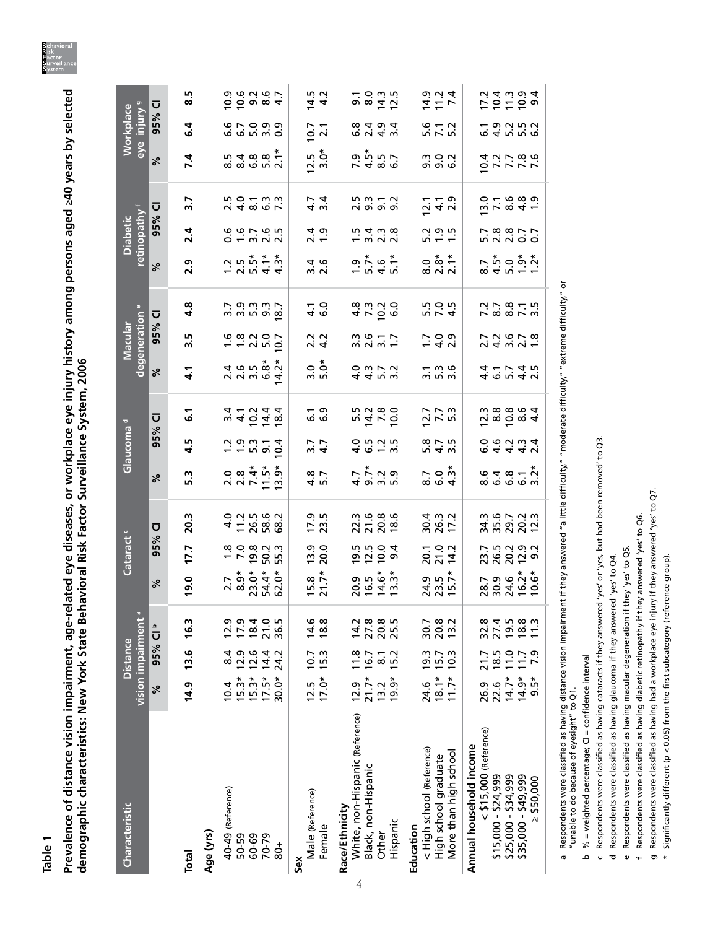**Table 1**

Prevalence of distance vision impairment, age-related eye diseases, or workplace eye injury history among persons aged ≥40 years by selected<br>demographic characteristics: New York State Behavioral Risk Factor Surveillance **Prevalence of distance vision impairment, age-related eye diseases, or workplace eye injury history among persons aged ≥40 years by selected demographic characteristics: New York State Behavioral Risk Factor Surveillance System, 2006**

| <b>Characteristic</b>                                                            | vision impairment <sup>a</sup> | <b>Distance</b>  |                                     |                                                                                            | Cataract <sup>c</sup>        |                                                                                             |                                                                                                                                                                                                                                                                        | Glaucoma <sup>d</sup>    |                                                              |                                                                                | degeneration e<br>Macular |                             |                                  | retinopathy f<br><b>Diabetic</b> |                                               |                                                                                       | eye injury <sup>9</sup><br>Workplace |                                            |
|----------------------------------------------------------------------------------|--------------------------------|------------------|-------------------------------------|--------------------------------------------------------------------------------------------|------------------------------|---------------------------------------------------------------------------------------------|------------------------------------------------------------------------------------------------------------------------------------------------------------------------------------------------------------------------------------------------------------------------|--------------------------|--------------------------------------------------------------|--------------------------------------------------------------------------------|---------------------------|-----------------------------|----------------------------------|----------------------------------|-----------------------------------------------|---------------------------------------------------------------------------------------|--------------------------------------|--------------------------------------------|
|                                                                                  | ಸಿ                             | 95% CIb          |                                     | %                                                                                          | 95%                          | $\overline{\mathbf{C}}$                                                                     | ४                                                                                                                                                                                                                                                                      | 95%                      | Ū                                                            | ಸಿ                                                                             | 95% CI                    |                             | %                                | 95% CI                           |                                               | %                                                                                     | 95% CI                               |                                            |
| <b>Total</b>                                                                     | 14.9                           | 13.6             | 16.3                                | 19.0                                                                                       | 17.7                         | 20.3                                                                                        | 5.3                                                                                                                                                                                                                                                                    | m<br>4                   | 5                                                            | 4.1                                                                            | 3.5                       | 4.8                         | 2.9                              | 2.4                              | $\overline{3}$ .7                             | 7.4                                                                                   | $\overline{6}$ .4                    | rú<br>ထံ                                   |
| Age (yrs)                                                                        |                                |                  |                                     |                                                                                            |                              |                                                                                             |                                                                                                                                                                                                                                                                        |                          |                                                              |                                                                                |                           |                             |                                  |                                  |                                               |                                                                                       |                                      |                                            |
| 40-49 (Reference)                                                                | 10.4                           | 8.4              |                                     |                                                                                            |                              |                                                                                             |                                                                                                                                                                                                                                                                        |                          |                                                              |                                                                                |                           |                             |                                  |                                  |                                               |                                                                                       |                                      |                                            |
| 50-59                                                                            | $15.3*$                        | 12.9             |                                     |                                                                                            |                              |                                                                                             |                                                                                                                                                                                                                                                                        |                          |                                                              |                                                                                |                           |                             |                                  |                                  |                                               |                                                                                       |                                      |                                            |
| 60-69                                                                            | $15.3*$                        | 12.6             |                                     |                                                                                            |                              |                                                                                             |                                                                                                                                                                                                                                                                        | 7.997                    |                                                              |                                                                                |                           |                             |                                  |                                  |                                               |                                                                                       |                                      |                                            |
| 70-79<br>$rac{1}{8}$                                                             | $17.5*$<br>$30.0*$             | 14.4<br>24.2     | 2 1 2 3 2 3<br>2 3 4 0 5<br>2 4 0 5 | 7<br>6<br>6<br>6<br>6<br>7<br>6<br>7<br>6<br>7<br>6<br>7<br>6<br>7<br>6<br>6<br>7<br>6<br> | 129235<br>12925              | 4 1 1 2 2 2 2<br>4 1 2 2 2 2 2                                                              | $\begin{array}{l} 0 \  \  \, \alpha \overset{*}{\circ} \overset{*}{\circ} \overset{*}{\circ} \\ 0 \  \  \, \alpha \overset{*}{\circ} \overset{*}{\circ} \overset{*}{\circ} \\ 0 \  \  \, \alpha \overset{*}{\circ} \overset{*}{\circ} \overset{**}{\circ} \end{array}$ | 10.4                     | m 4 D 4 8<br>4 - 5 4 4                                       |                                                                                | $188207$<br>$-2007$       | 2<br>2020<br>2020           | $7.557 + 7.57$<br>$7.577 + 7.57$ |                                  | 24867<br>24867                                | 5<br>6<br>6<br>6<br>6<br>6<br>6<br>5<br>6<br>5<br>6<br>6<br>6<br>6<br>2<br>6<br>2<br> | condo<br>Condo                       | 0<br>0 0 0 10 1<br>0 0 10 1                |
| Sex                                                                              |                                |                  |                                     |                                                                                            |                              |                                                                                             |                                                                                                                                                                                                                                                                        |                          |                                                              |                                                                                |                           |                             |                                  |                                  |                                               |                                                                                       |                                      |                                            |
| Male (Reference)                                                                 | 12.5                           | 10.7             | 14.6                                | $15.8$<br>21.7*                                                                            | $\frac{13.9}{20.0}$          | $17.9$<br>23.5                                                                              | $4.8$<br>5.7                                                                                                                                                                                                                                                           | $3.7$<br>4.7             | ن<br>ن ن                                                     | 3.0<br>5.มั                                                                    | $2.2$<br>4.2              | $\frac{1}{4}$ 0             | 3<br>2<br>2<br>2<br>2            | $\frac{4}{2}$ . $\frac{9}{2}$    | $4.\overline{7}$<br>3.4                       | $12.5$<br>$3.0*$                                                                      | 10.7                                 | $14.5$<br>4.2                              |
| Female                                                                           | $17.0*$                        | 15.3             | 18.8                                |                                                                                            |                              |                                                                                             |                                                                                                                                                                                                                                                                        |                          |                                                              |                                                                                |                           |                             |                                  |                                  |                                               |                                                                                       | $\overline{2.1}$                     |                                            |
| Race/Ethnicity                                                                   |                                |                  |                                     |                                                                                            |                              |                                                                                             |                                                                                                                                                                                                                                                                        |                          |                                                              |                                                                                |                           |                             |                                  |                                  |                                               |                                                                                       |                                      |                                            |
| White, non-Hispanic (Reference)<br>4                                             | 12.9                           | 11.8             |                                     | 0.5<br>0.6<br>2.6<br>2.7<br>2.7                                                            | pino<br>Divod                | 22286<br>2228                                                                               |                                                                                                                                                                                                                                                                        | $4.0 - 0.0$              | 5<br>5 2 3 3 9<br>5 9 9 0                                    | 4453<br>4453                                                                   | $300 - 7$<br>$300 - 7$    | $4700$<br>$600$             |                                  |                                  |                                               | 7486<br>9486                                                                          | 6 7 4 3<br>6 7 4 9 4                 | o. 0<br>0. 0. 0. 1<br>0. 0. 1<br>0. 1<br>2 |
| Black, non-Hispanic                                                              | $21.7*$                        | 16.7             |                                     |                                                                                            |                              |                                                                                             |                                                                                                                                                                                                                                                                        |                          |                                                              |                                                                                |                           |                             |                                  |                                  |                                               |                                                                                       |                                      |                                            |
| Other                                                                            | 13.2                           | $\overline{8}$ . |                                     |                                                                                            |                              |                                                                                             |                                                                                                                                                                                                                                                                        |                          |                                                              |                                                                                |                           |                             |                                  |                                  |                                               |                                                                                       |                                      |                                            |
| Hispanic                                                                         | $19.9*$                        | 15.2             |                                     |                                                                                            |                              |                                                                                             |                                                                                                                                                                                                                                                                        |                          |                                                              |                                                                                |                           |                             |                                  |                                  |                                               |                                                                                       |                                      |                                            |
| Education                                                                        |                                |                  |                                     |                                                                                            |                              |                                                                                             |                                                                                                                                                                                                                                                                        |                          |                                                              |                                                                                |                           |                             |                                  |                                  |                                               |                                                                                       |                                      |                                            |
| < High school (Reference)                                                        | 24.6                           | 19.3             | 30.7                                |                                                                                            |                              |                                                                                             |                                                                                                                                                                                                                                                                        |                          |                                                              |                                                                                |                           |                             |                                  |                                  |                                               |                                                                                       |                                      |                                            |
| More than high school<br>High school graduate                                    | $18.1*$<br>$11.7*$             | 10.3<br>15.7     | 20.8                                | $24.9$<br>$23.5$<br>$15.7*$                                                                | 20.1<br>21.0<br>14.2         | 30.3<br>26.3<br>17.2                                                                        | $\begin{array}{c} 7 \\ 0 \\ 0 \\ 4 \end{array}$                                                                                                                                                                                                                        |                          | $7.7$<br>$7.7$<br>$5.3$                                      | $\begin{array}{c}\n - & 0 \\  \hline\n 0 & 0 \\  \hline\n 0 & 0\n \end{array}$ | $7.00$<br>$7.00$          | 10 0 10<br>10 0 11<br>10 11 | $0.87 + 0.028$                   |                                  | $\frac{1}{2}$ + $\frac{1}{2}$ + $\frac{1}{2}$ | co co<br>co co                                                                        | $5 - 5$<br>5 7 5 6                   | 11 1<br>11 11<br>11 11                     |
|                                                                                  |                                |                  |                                     |                                                                                            |                              |                                                                                             |                                                                                                                                                                                                                                                                        |                          |                                                              |                                                                                |                           |                             |                                  |                                  |                                               |                                                                                       |                                      |                                            |
| Annual household income                                                          |                                |                  |                                     |                                                                                            |                              |                                                                                             |                                                                                                                                                                                                                                                                        |                          |                                                              |                                                                                |                           |                             |                                  |                                  |                                               |                                                                                       |                                      |                                            |
| $<$ \$15,000 (Reference)                                                         | 26.9                           | 21.7             | 32.8                                | 28.7<br>20.9<br>24.6                                                                       |                              |                                                                                             |                                                                                                                                                                                                                                                                        |                          |                                                              |                                                                                |                           |                             |                                  |                                  |                                               |                                                                                       |                                      | 17.2                                       |
| $$15,000 - $24,999$                                                              | 22.6                           | 18.5             |                                     |                                                                                            |                              |                                                                                             |                                                                                                                                                                                                                                                                        |                          |                                                              |                                                                                |                           |                             |                                  |                                  |                                               |                                                                                       |                                      |                                            |
| $$25,000 - $34,999$                                                              | $14.7*$                        | 11.0             | $71987$<br>$7987$<br>$1587$         |                                                                                            | 23.7<br>26.2<br>20.2<br>20.2 | 3507233<br>35022                                                                            | $648 - x$<br>$648 - x$<br>$648 - x$                                                                                                                                                                                                                                    | o q q q vi<br>O q q q vi | $7 \times 6$<br>$6 \times 4$<br>$7 \times 6$<br>$6 \times 4$ | 4 6 10 4 51<br>4 4 5 7 4 10                                                    | 24 m N 1<br>24 m N 1      | 228213<br>23825             | $7500077$<br>$840777$            | 128877<br>23877                  | n r x q d -                                   | 0 7 7 7 7<br>0 7 7 7 8 9                                                              | carric<br>carric                     | $0.7004$<br>$0.7004$                       |
| \$35,000 - \$49,999                                                              | $14.9*$                        | 11.7             |                                     | $16.2*$<br>$10.6*$                                                                         |                              |                                                                                             |                                                                                                                                                                                                                                                                        |                          |                                                              |                                                                                |                           |                             |                                  |                                  |                                               |                                                                                       |                                      |                                            |
| \$50,000<br>$\Lambda$                                                            | $9.5*$                         | 7.9              |                                     |                                                                                            |                              |                                                                                             |                                                                                                                                                                                                                                                                        |                          |                                                              |                                                                                |                           |                             |                                  |                                  |                                               |                                                                                       |                                      |                                            |
| Respondents were classified as having distance vision impairm<br><b>G</b>        |                                |                  |                                     |                                                                                            |                              | ent if they answered "a little difficulty," "moderate difficulty," "extreme difficulty," or |                                                                                                                                                                                                                                                                        |                          |                                                              |                                                                                |                           |                             |                                  |                                  |                                               |                                                                                       |                                      |                                            |
| "unable to do because of eyesight" to Q1.                                        |                                |                  |                                     |                                                                                            |                              |                                                                                             |                                                                                                                                                                                                                                                                        |                          |                                                              |                                                                                |                           |                             |                                  |                                  |                                               |                                                                                       |                                      |                                            |
| % = weighted percentage; CI = confidence interval<br>م                           |                                |                  |                                     |                                                                                            |                              |                                                                                             |                                                                                                                                                                                                                                                                        |                          |                                                              |                                                                                |                           |                             |                                  |                                  |                                               |                                                                                       |                                      |                                            |
| Respondents were classified as having cataracts if they answer<br>U              |                                |                  |                                     |                                                                                            |                              | ed 'yes' or 'yes, but had been removed' to Q3.                                              |                                                                                                                                                                                                                                                                        |                          |                                                              |                                                                                |                           |                             |                                  |                                  |                                               |                                                                                       |                                      |                                            |
| Respondents were classified as having glaucoma if they answered 'yes' to O4<br>ಕ |                                |                  |                                     |                                                                                            |                              |                                                                                             |                                                                                                                                                                                                                                                                        |                          |                                                              |                                                                                |                           |                             |                                  |                                  |                                               |                                                                                       |                                      |                                            |

Respondents were classified as having glaucoma if they answered 'yes' to Q4.

e Respondents were classified as having macular degeneration if they 'yes' to Q5. Respondents were classified as having macular degeneration if they 'yes' to Q5.

f Respondents were classified as having diabetic retinopathy if they answered 'yes' to Q6. Respondents were classified as having diabetic retinopathy if they answered 'yes' to Q6.

g Respondents were classified as having had a workplace eye injury if they answered 'yes' to Q7. Respondents were classified as having had a workplace eye injury if they answered 'yes' to Q7.

\* Significantly different (p < 0.05) from the first subcategory (reference group).  $^{\star}$  Significantly different (p < 0.05) from the first subcategory (reference group).

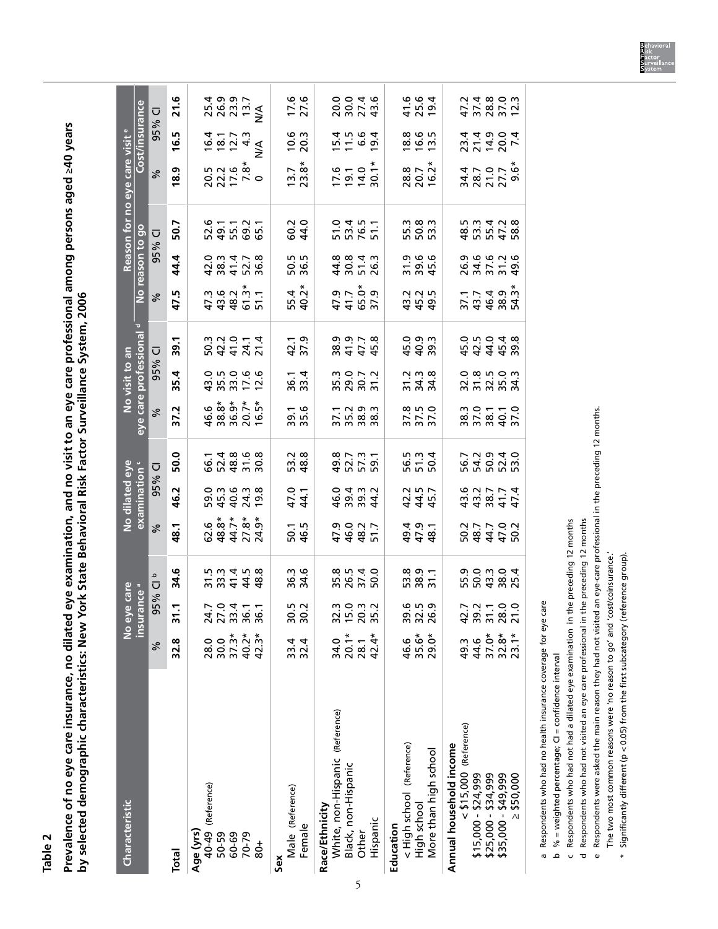**Table 2**

**Prevalence of no eye care insurance, no dilated eye examination, and no visit to an eye care professional among persons aged ≥40 years**  Prevalence of no eye care insurance, no dilated eye examination, and no visit to an eye care professional among persons aged 240 years by selected demographic characteristics: New York State Behavioral Risk Factor Surveillance System, 2006 **by selected demographic characteristics: New York State Behavioral Risk Factor Surveillance System, 2006**

| <b>Characteristic</b>                                                          |                          |                               |                                      |                                                   |                                    |                                           |                                         | No visit to an                            |                                    |                                                   |                                     | Reason for no eye care visit <sup>el</sup> |                                                                                     |                                                                |                                           |
|--------------------------------------------------------------------------------|--------------------------|-------------------------------|--------------------------------------|---------------------------------------------------|------------------------------------|-------------------------------------------|-----------------------------------------|-------------------------------------------|------------------------------------|---------------------------------------------------|-------------------------------------|--------------------------------------------|-------------------------------------------------------------------------------------|----------------------------------------------------------------|-------------------------------------------|
|                                                                                |                          | No eye care<br>insurance a    |                                      |                                                   | No dilated eye<br>examination '    |                                           | eye care professional                   |                                           |                                    |                                                   | No reason to go                     |                                            |                                                                                     | Cost/insurance                                                 |                                           |
|                                                                                | ℅                        | 95%                           | م<br>Ū                               | ℅                                                 | 95%                                | Ū                                         | న్                                      | 95%                                       | $\overline{\cup}$                  | వ                                                 | 95%                                 | Ū                                          | $\%$                                                                                | 95%                                                            | $\overline{\cup}$                         |
| Total                                                                          | 32.8                     | 31.1                          | 34.6                                 | 48.1                                              | 46.2                               | 50.0                                      | 37.2                                    | 35.4                                      | 39.1                               | 47.5                                              | 44.4                                | 50.7                                       | 18.9                                                                                | 16.5                                                           | 21.6                                      |
| 40-49 (Reference)<br>Age (yrs)                                                 | 28.0                     |                               |                                      |                                                   |                                    |                                           |                                         |                                           |                                    |                                                   |                                     |                                            |                                                                                     |                                                                |                                           |
| 50-59                                                                          | 30.0                     | 772367<br>77365               |                                      | 6 <i>*</i><br>6 * * * *<br>6 * * * *<br>6 * * * * | 5<br>9 5 9 9 9 9<br>9 9 9 9 9 9    | 6 5 4 8 6 8<br>6 7 8 7 9 8<br>6 7 8 9 9   |                                         | 0 5 6 6 6<br>0 5 6 6 6<br>4 7 7 7 7       | 5044227<br>2044227                 | $47.96$<br>$47.96$<br>$47.96$<br>$57.1$<br>$57.1$ | d w 4 r w<br>0 w 4 r w<br>0 w 4 r w |                                            | 5 7 7 6<br>2 7 1 7 9<br>2 7 1 7 9                                                   | $16.7$<br>$18.7$<br>$16.7$<br>$4.3$<br>$4.4$<br>$8.7$<br>$4.4$ | 25.9<br>26.9<br>28.27<br>28.27            |
| 60-69                                                                          | $37.3*$                  |                               |                                      |                                                   |                                    |                                           |                                         |                                           |                                    |                                                   |                                     |                                            |                                                                                     |                                                                |                                           |
| 70-79                                                                          | 40.2*                    |                               |                                      |                                                   |                                    |                                           |                                         |                                           |                                    |                                                   |                                     |                                            |                                                                                     |                                                                |                                           |
| $\frac{1}{8}$                                                                  | $42.3*$                  |                               |                                      |                                                   |                                    |                                           |                                         |                                           |                                    |                                                   |                                     |                                            |                                                                                     |                                                                |                                           |
| Male (Reference)<br>Sex                                                        | 33.4                     |                               |                                      |                                                   |                                    |                                           |                                         |                                           |                                    |                                                   |                                     |                                            |                                                                                     |                                                                |                                           |
| Female                                                                         | 32.4                     | 30.2<br>30.2                  | 36.3<br>34.6                         | 50.1<br>46.5                                      | 47.1<br>44.1                       | 53.2<br>48.8                              | 39.1<br>35.6                            | 36.1<br>33.4                              | 42.1<br>37.9                       | 55.4<br>40.2*                                     | 50.5<br>36.5                        | 60.2<br>0.2                                | $13.7$<br>$23.8*$                                                                   | $10.6$<br>20.3                                                 | 17.6<br>27.6                              |
| White, non-Hispanic (Reference)<br>Race/Ethnicity                              | 34.0                     |                               |                                      |                                                   |                                    |                                           |                                         |                                           |                                    |                                                   |                                     |                                            |                                                                                     |                                                                |                                           |
| Black, non-Hispanic                                                            | $20.1*$                  |                               |                                      |                                                   |                                    |                                           |                                         |                                           |                                    |                                                   |                                     |                                            |                                                                                     |                                                                |                                           |
| Other                                                                          | 28.1                     |                               | 8<br>8 9 7 9<br>8 9 7 9<br>8 9 9 9 9 | 9 0 0 1 1<br>5 9 8 1 1<br>4 4 4 5                 | d w w d<br>6 w w d<br>6 w w w h    | 4<br>9 2 7 9<br>9 2 7 9 1                 | $7.799$<br>$7.799$<br>$0.88$<br>$0.799$ | 30072<br>50072<br>5007                    | 9<br>8 9 7 8<br>8 4 4 9<br>9 9 7 9 | 9 7 7 8 9<br>9 7 7 9 9<br>9 7 9 9                 | 4<br>4016<br>4016                   | 5 13 15 15<br>15 16 17<br>16 17 19 11      | $\frac{6}{7}$ $\frac{1}{9}$ $\frac{4}{9}$ $\frac{6}{9}$ $\frac{4}{9}$ $\frac{6}{9}$ | 15 15 16 16<br>11 16 16 16<br>11 16 11                         | 0046<br>0074<br>0074                      |
| Hispanic                                                                       | $42.4*$                  |                               |                                      |                                                   |                                    |                                           |                                         |                                           |                                    |                                                   |                                     |                                            |                                                                                     |                                                                |                                           |
| < High school (Reference)<br>More than high school<br>High school<br>Education | 35.6*<br>$29.0*$<br>46.6 | 8 5 5 9<br>8 7 6 9<br>8 7 8 9 | 53.9<br>58.9<br>51.1                 | 4 9 4<br>4 9 1<br>4 9 1                           | 445.7<br>445.7                     | 56.3<br>50.4<br>50.4                      | 37.0<br>37.0<br>37.0                    | 2138<br>2138                              | 0.0<br>4.0.0<br>4.0.0              | 2<br>22<br>23<br>23<br>23                         | 9<br>5 9 9 9<br>5 9 9 9             | 55.3<br>50.3<br>53.3                       | 28.8<br>20.7<br>16.2*                                                               | 8<br>8<br>1 9 1<br>1 9 1                                       | 4 1 9 4<br>4 5 9 4<br>1 9 4               |
| $<$ \$15,000 (Reference)<br>Annual household income<br>\$15,000 - \$24,999     | 44.6<br>49.3             |                               |                                      |                                                   |                                    |                                           |                                         |                                           |                                    |                                                   |                                     |                                            |                                                                                     |                                                                |                                           |
| \$25,000 - \$34,999<br>\$35,000 - \$49,999                                     | $37.0*$<br>$32.8*$       |                               | 5<br>5 0 1 1 2 1 2<br>5 1 2 1 2 1 2  | P<br>0 8 4 4 5<br>0 8 4 5 0 7                     | 44 w 4 4<br>4 4 2 2 4<br>4 4 2 2 4 | F S P S P S<br>P S P S P S<br>P S P S P S | 82110<br>822110<br>822110               | 0 8 5 0 0 1<br>0 1 0 1 0 1<br>0 1 0 1 0 1 | 4444<br>55459<br>65448             | 84884<br>254884<br>2548                           | 232324<br>242529<br>2425            | 4<br>8 3 4 5 8<br>8 5 4 5 8<br>8 7 4 5 8   | a<br>4 8 7 7 9<br>4 7 9 7 9                                                         | 221222<br>24222                                                | 4 3 2 3 2 5<br>4 7 8 7 5 7<br>4 7 8 7 9 7 |
| \$50,000<br>$\overline{\wedge}$                                                | $23.1*$                  |                               |                                      |                                                   |                                    |                                           |                                         |                                           |                                    |                                                   |                                     |                                            |                                                                                     |                                                                |                                           |

 $\mathbf{I}$ 

J.

T

 $\overline{1}$ 

T

 $\overline{1}$ 

a Respondents who had no health insurance coverage for eye care Respondents who had no health insurance coverage for eye care

b % = weighted percentage;  $Cl$  = confidence interval % = weighted percentage; CI = confidence interval

c Respondents who had not had a dilated eye examination in the preceding 12 months Respondents who had not had a dilated eye examination in the preceding 12 months

d Respondents who had not visited an eye care professional in the preceding 12 months Respondents who had not visited an eye care professional in the preceding 12 months

e Respondents were asked the main reason they had not visited an eye-care professional in the preceding 12 months. Respondents were asked the main reason they had not visited an eye-care professional in the preceding 12 months.

The two most common reasons were 'no reason to go' and 'cost/coinsurance.' The two most common reasons were 'no reason to go' and 'cost/coinsurance.'

\* Significantly different (p < 0.05) from the first subcategory (reference group).  $^{\ast}$  Significantly different (p < 0.05) from the first subcategory (reference group).

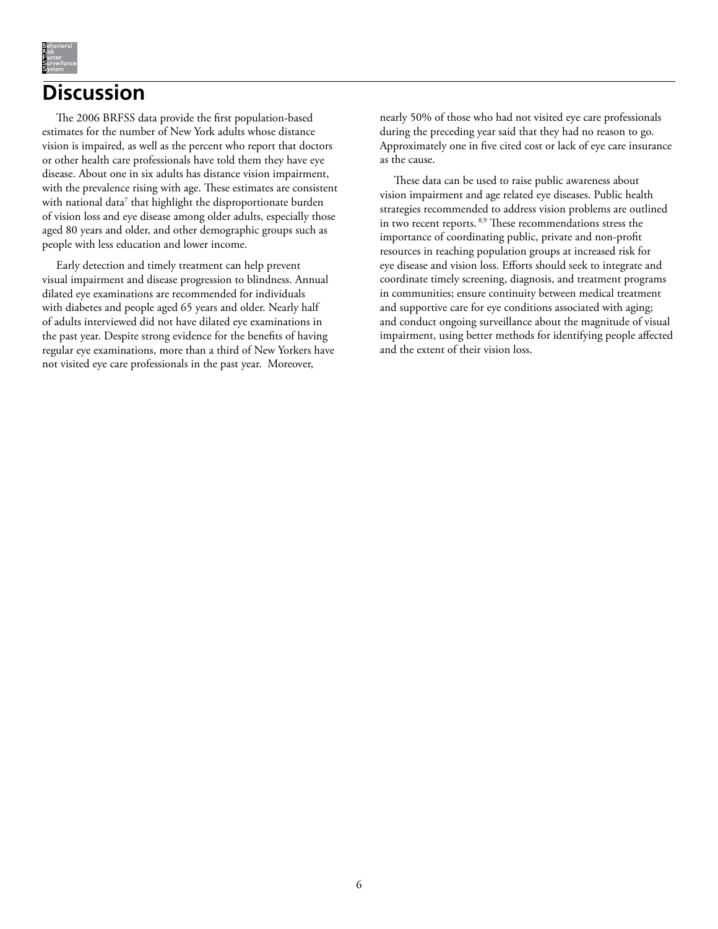

## **Discussion**

The 2006 BRFSS data provide the first population-based estimates for the number of New York adults whose distance vision is impaired, as well as the percent who report that doctors or other health care professionals have told them they have eye disease. About one in six adults has distance vision impairment, with the prevalence rising with age. These estimates are consistent with national data<sup>7</sup> that highlight the disproportionate burden of vision loss and eye disease among older adults, especially those aged 80 years and older, and other demographic groups such as people with less education and lower income.

Early detection and timely treatment can help prevent visual impairment and disease progression to blindness. Annual dilated eye examinations are recommended for individuals with diabetes and people aged 65 years and older. Nearly half of adults interviewed did not have dilated eye examinations in the past year. Despite strong evidence for the benefits of having regular eye examinations, more than a third of New Yorkers have not visited eye care professionals in the past year. Moreover,

nearly 50% of those who had not visited eye care professionals during the preceding year said that they had no reason to go. Approximately one in five cited cost or lack of eye care insurance as the cause.

These data can be used to raise public awareness about vision impairment and age related eye diseases. Public health strategies recommended to address vision problems are outlined in two recent reports. 8,9 These recommendations stress the importance of coordinating public, private and non-profit resources in reaching population groups at increased risk for eye disease and vision loss. Efforts should seek to integrate and coordinate timely screening, diagnosis, and treatment programs in communities; ensure continuity between medical treatment and supportive care for eye conditions associated with aging; and conduct ongoing surveillance about the magnitude of visual impairment, using better methods for identifying people affected and the extent of their vision loss.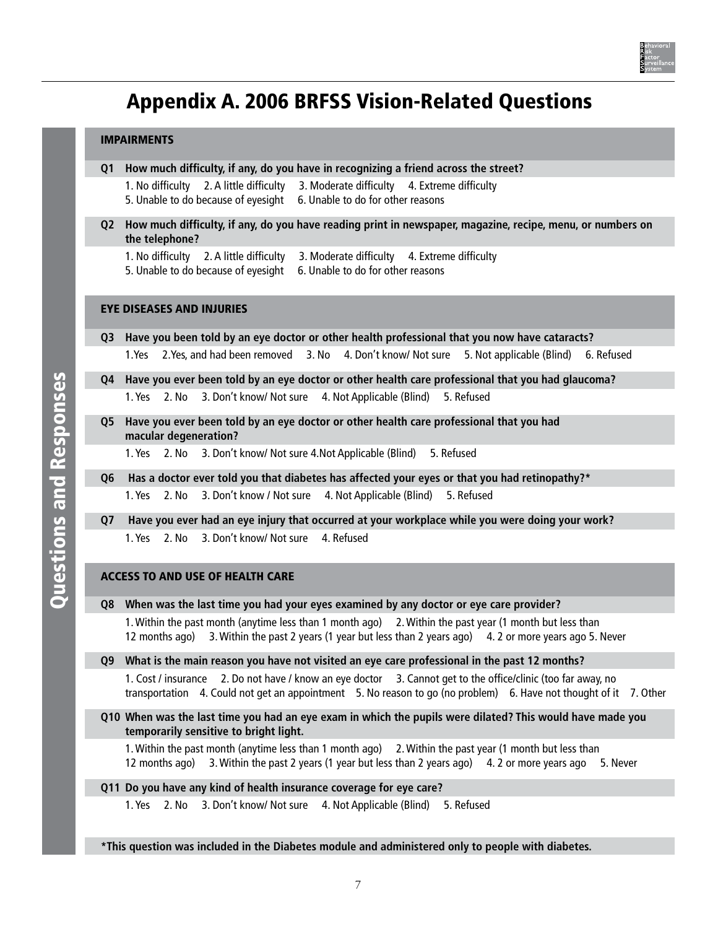

# Appendix A. 2006 BRFSS Vision-Related Questions

#### IMPAIRMENTS

- **Q1 How much difficulty, if any, do you have in recognizing a friend across the street?**
	- 1. No difficulty 2. A little difficulty 3. Moderate difficulty 4. Extreme difficulty 5. Unable to do because of eyesight 6. Unable to do for other reasons
- **Q2 How much difficulty, if any, do you have reading print in newspaper, magazine, recipe, menu, or numbers on the telephone?**

1. No difficulty 2. A little difficulty 3. Moderate difficulty 4. Extreme difficulty

5. Unable to do because of eyesight 6. Unable to do for other reasons

### EYE DISEASES AND INJURIES

**Q3 Have you been told by an eye doctor or other health professional that you now have cataracts?** 1.Yes 2.Yes, and had been removed 3. No 4. Don't know/ Not sure 5. Not applicable (Blind) 6. Refused

- **Q4 Have you ever been told by an eye doctor or other health care professional that you had glaucoma?**
	- 1. Yes 2. No 3. Don't know/ Not sure 4. Not Applicable (Blind) 5. Refused
- **Q5 Have you ever been told by an eye doctor or other health care professional that you had macular degeneration?**
	- 1. Yes 2. No 3. Don't know/ Not sure 4.Not Applicable (Blind) 5. Refused
- **Q6 Has a doctor ever told you that diabetes has affected your eyes or that you had retinopathy?\***
	- 1. Yes 2. No 3. Don't know / Not sure 4. Not Applicable (Blind) 5. Refused
- **Q7 Have you ever had an eye injury that occurred at your workplace while you were doing your work?** 1. Yes 2. No 3. Don't know/ Not sure 4. Refused

#### ACCESS TO AND USE OF HEALTH CARE

**Q8 When was the last time you had your eyes examined by any doctor or eye care provider?**

1. Within the past month (anytime less than 1 month ago) 2. Within the past year (1 month but less than 12 months ago) 3. Within the past 2 years (1 year but less than 2 years ago) 4. 2 or more years ago 5. Never

**Q9 What is the main reason you have not visited an eye care professional in the past 12 months?**

1. Cost / insurance 2. Do not have / know an eye doctor 3. Cannot get to the office/clinic (too far away, no transportation 4. Could not get an appointment 5. No reason to go (no problem) 6. Have not thought of it 7. Other

**Q10 When was the last time you had an eye exam in which the pupils were dilated? This would have made you temporarily sensitive to bright light.**

1. Within the past month (anytime less than 1 month ago) 2. Within the past year (1 month but less than 12 months ago) 3. Within the past 2 years (1 year but less than 2 years ago) 4. 2 or more years ago 5. Never

### **Q11 Do you have any kind of health insurance coverage for eye care?**

1. Yes 2. No 3. Don't know/ Not sure 4. Not Applicable (Blind) 5. Refused

**\*This question was included in the Diabetes module and administered only to people with diabetes.**